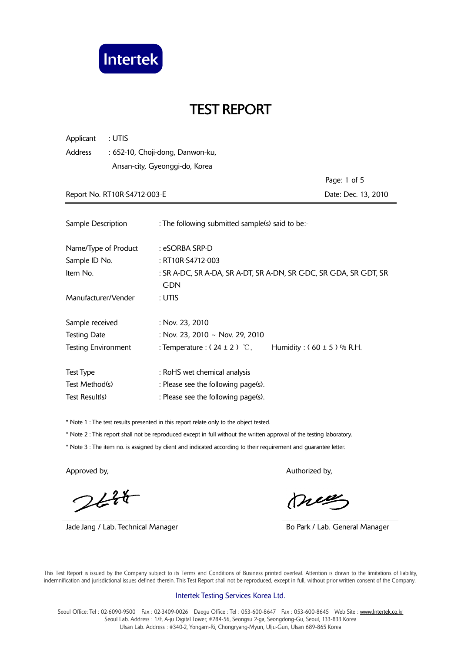

| Applicant<br>: UTIS          |                                                                                    |                               |
|------------------------------|------------------------------------------------------------------------------------|-------------------------------|
| Address                      | : 652-10, Choji-dong, Danwon-ku,                                                   |                               |
|                              | Ansan-city, Gyeonggi-do, Korea                                                     |                               |
|                              |                                                                                    | Page: 1 of 5                  |
| Report No. RT10R-S4712-003-E |                                                                                    | Date: Dec. 13, 2010           |
|                              |                                                                                    |                               |
| Sample Description           | : The following submitted sample(s) said to be:-                                   |                               |
| Name/Type of Product         | : eSORBA SRP-D                                                                     |                               |
| Sample ID No.                | : RT10R-S4712-003                                                                  |                               |
| Item No.                     | : SR A-DC, SR A-DA, SR A-DT, SR A-DN, SR G-DC, SR G-DA, SR G-DT, SR<br><b>C-DN</b> |                               |
| Manufacturer/Vender          | : UTIS                                                                             |                               |
| Sample received              | : Nov. 23, 2010                                                                    |                               |
| <b>Testing Date</b>          | : Nov. 23, 2010 ~ Nov. 29, 2010                                                    |                               |
| <b>Testing Environment</b>   | : Temperature : $(24 \pm 2)$ °C,                                                   | Humidity: $(60 \pm 5)$ % R.H. |
| <b>Test Type</b>             | : RoHS wet chemical analysis                                                       |                               |
| Test Method(s)               | : Please see the following page(s).                                                |                               |
| Test Result(s)               | : Please see the following page(s).                                                |                               |

\* Note 1 : The test results presented in this report relate only to the object tested.

\* Note 2 : This report shall not be reproduced except in full without the written approval of the testing laboratory.

\* Note 3 : The item no. is assigned by client and indicated according to their requirement and guarantee letter.

 $244$ 

Jade Jang / Lab. Technical Manager **Bo Park / Lab. General Manager** Bo Park / Lab. General Manager

Approved by, Authorized by, Authorized by, Authorized by,

meg

 This Test Report is issued by the Company subject to its Terms and Conditions of Business printed overleaf. Attention is drawn to the limitations of liability, indemnification and jurisdictional issues defined therein. This Test Report shall not be reproduced, except in full, without prior written consent of the Company.

#### Intertek Testing Services Korea Ltd.

Seoul Office: Tel: 02-6090-9500 Fax: 02-3409-0026 Daegu Office: Tel: 053-600-8647 Fax: 053-600-8645 Web Site: www.Intertek.co.kr Seoul Lab. Address : 1/F, A-ju Digital Tower, #284-56, Seongsu 2-ga, Seongdong-Gu, Seoul, 133-833 Korea Ulsan Lab. Address : #340-2, Yongam-Ri, Chongryang-Myun, Ulju-Gun, Ulsan 689-865 Korea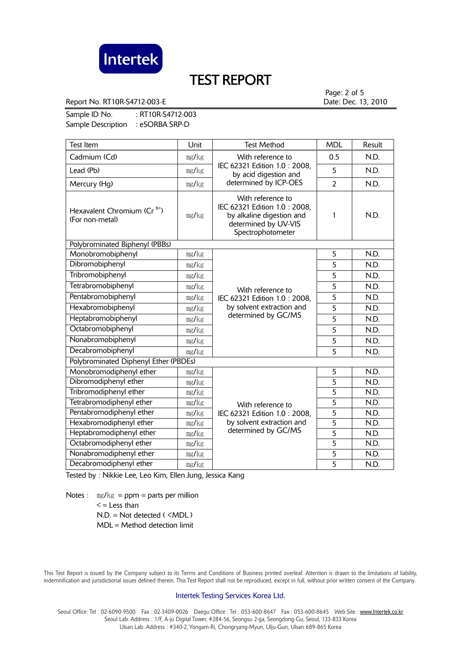

Report No. RT10R-S4712-003-E **Date: Dec. 13, 2010** 

Page: 2 of 5

Sample ID No. : RT10R-S4712-003 Sample Description : eSORBA SRP-D

| Test Item                                                  | Unit                               | <b>Test Method</b>                                                                                                          | <b>MDL</b>     | Result |
|------------------------------------------------------------|------------------------------------|-----------------------------------------------------------------------------------------------------------------------------|----------------|--------|
| Cadmium (Cd)                                               | mg/kg                              | With reference to                                                                                                           | 0.5            | N.D.   |
| Lead (Pb)                                                  | mg/kg                              | IEC 62321 Edition 1.0: 2008,<br>by acid digestion and                                                                       | 5              | N.D.   |
| Mercury (Hg)                                               | mg/kg                              | determined by ICP-OES                                                                                                       | $\overline{2}$ | N.D.   |
| Hexavalent Chromium (Cr <sup>6+</sup> )<br>(For non-metal) | mg/kg                              | With reference to<br>IEC 62321 Edition 1.0: 2008,<br>by alkaline digestion and<br>determined by UV-VIS<br>Spectrophotometer | 1              | N.D.   |
| Polybrominated Biphenyl (PBBs)                             |                                    |                                                                                                                             |                |        |
| Monobromobiphenyl                                          | mg/kg                              | With reference to<br>IEC 62321 Edition 1.0 : 2008,                                                                          | 5              | N.D.   |
| Dibromobiphenyl                                            | mg/kg                              |                                                                                                                             | 5              | N.D.   |
| Tribromobiphenyl                                           | mg/kg                              |                                                                                                                             | 5              | N.D.   |
| Tetrabromobiphenyl                                         | mg/kg                              |                                                                                                                             | 5              | N.D.   |
| Pentabromobiphenyl                                         | mg/kg                              |                                                                                                                             | 5              | N.D.   |
| Hexabromobiphenyl                                          | by solvent extraction and<br>mg/kg | 5                                                                                                                           | N.D.           |        |
| Heptabromobiphenyl                                         | mg/kg                              | determined by GC/MS                                                                                                         | 5              | N.D.   |
| Octabromobiphenyl                                          | mg/kg                              |                                                                                                                             | 5              | N.D.   |
| Nonabromobiphenyl                                          | mg/kg                              |                                                                                                                             | 5              | N.D.   |
| Decabromobiphenyl                                          | mg/kg                              |                                                                                                                             | $\overline{5}$ | N.D.   |
| Polybrominated Diphenyl Ether (PBDEs)                      |                                    |                                                                                                                             |                |        |
| Monobromodiphenyl ether                                    | mg/kg                              |                                                                                                                             | 5              | N.D.   |
| Dibromodiphenyl ether                                      | mg/kg                              |                                                                                                                             | $\overline{5}$ | N.D.   |
| Tribromodiphenyl ether                                     | mg/kg                              | With reference to<br>IEC 62321 Edition 1.0 : 2008,<br>by solvent extraction and<br>determined by GC/MS                      | 5              | N.D.   |
| Tetrabromodiphenyl ether                                   | mg/kg                              |                                                                                                                             | $\overline{5}$ | N.D.   |
| Pentabromodiphenyl ether                                   | mg/kg                              |                                                                                                                             | $\overline{5}$ | N.D.   |
| Hexabromodiphenyl ether                                    | mg/kg                              |                                                                                                                             | $\overline{5}$ | N.D.   |
| Heptabromodiphenyl ether                                   | mg/kg                              |                                                                                                                             | $\overline{5}$ | N.D.   |
| Octabromodiphenyl ether                                    | mg/kg                              |                                                                                                                             | $\overline{5}$ | N.D.   |
| Nonabromodiphenyl ether                                    | mg/kg                              | 5                                                                                                                           |                | N.D.   |
| Decabromodiphenyl ether                                    | mg/kg                              |                                                                                                                             | $\overline{5}$ | N.D.   |

Tested by : Nikkie Lee, Leo Kim, Ellen Jung, Jessica Kang

Notes :  $\text{mg/kg} = \text{ppm} = \text{parts per million}$  $\leq$  = Less than  $N.D. = Not detected ( **MDL**)$ MDL = Method detection limit

 This Test Report is issued by the Company subject to its Terms and Conditions of Business printed overleaf. Attention is drawn to the limitations of liability, indemnification and jurisdictional issues defined therein. This Test Report shall not be reproduced, except in full, without prior written consent of the Company.

### Intertek Testing Services Korea Ltd.

Seoul Office: Tel: 02-6090-9500 Fax: 02-3409-0026 Daegu Office: Tel: 053-600-8647 Fax: 053-600-8645 Web Site: www.Intertek.co.kr Seoul Lab. Address : 1/F, A-ju Digital Tower, #284-56, Seongsu 2-ga, Seongdong-Gu, Seoul, 133-833 Korea Ulsan Lab. Address : #340-2, Yongam-Ri, Chongryang-Myun, Ulju-Gun, Ulsan 689-865 Korea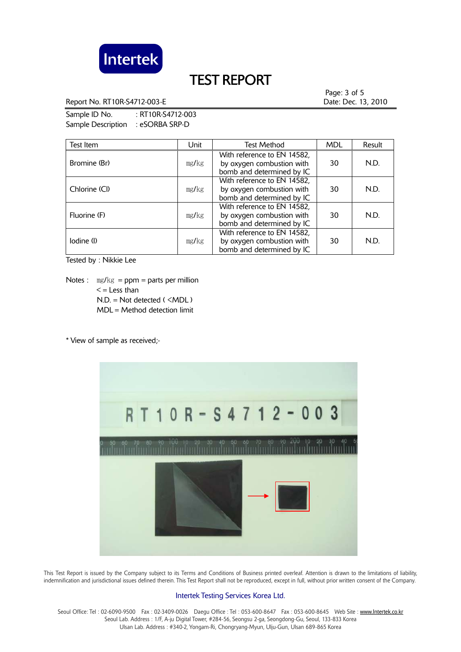

Report No. RT10R-S4712-003-E **Date: Dec. 13, 2010** Date: Dec. 13, 2010

Page: 3 of 5

Sample ID No. : RT10R-S4712-003 Sample Description : eSORBA SRP-D

| Test Item     | Unit  | <b>Test Method</b>                                                                    | <b>MDL</b> | Result |
|---------------|-------|---------------------------------------------------------------------------------------|------------|--------|
| Bromine (Br)  | mg/kg | With reference to EN 14582,<br>by oxygen combustion with<br>bomb and determined by IC | 30         | N.D.   |
| Chlorine (Cl) | mg/kg | With reference to EN 14582,<br>by oxygen combustion with<br>bomb and determined by IC | 30         | N.D.   |
| Fluorine (F)  | mg/kg | With reference to EN 14582,<br>by oxygen combustion with<br>bomb and determined by IC | 30         | N.D.   |
| lodine (l)    | mg/kg | With reference to EN 14582,<br>by oxygen combustion with<br>bomb and determined by IC | 30         | N.D.   |

Tested by : Nikkie Lee

Notes :  $mg/kg = ppm = parts per million$  $\leq$  = Less than N.D. = Not detected ( <MDL ) MDL = Method detection limit

\* View of sample as received;-



 This Test Report is issued by the Company subject to its Terms and Conditions of Business printed overleaf. Attention is drawn to the limitations of liability, indemnification and jurisdictional issues defined therein. This Test Report shall not be reproduced, except in full, without prior written consent of the Company.

### Intertek Testing Services Korea Ltd.

Seoul Office: Tel: 02-6090-9500 Fax: 02-3409-0026 Daegu Office: Tel: 053-600-8647 Fax: 053-600-8645 Web Site: www.Intertek.co.kr Seoul Lab. Address : 1/F, A-ju Digital Tower, #284-56, Seongsu 2-ga, Seongdong-Gu, Seoul, 133-833 Korea Ulsan Lab. Address : #340-2, Yongam-Ri, Chongryang-Myun, Ulju-Gun, Ulsan 689-865 Korea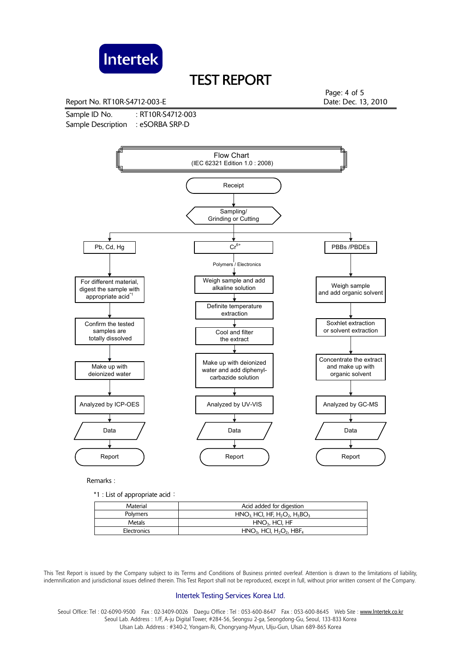

Report No. RT10R-S4712-003-E **Date: Dec. 13, 2010** 

Sample ID No. : RT10R-S4712-003 Sample Description : eSORBA SRP-D

Page: 4 of 5



Remarks :

\*1 : List of appropriate acid:

| Material    | Acid added for digestion                                       |  |
|-------------|----------------------------------------------------------------|--|
| Polymers    | $HNO3 HCl, HF, H2O2, H3BO3$                                    |  |
| Metals      | $HNO3$ , HCl, HF                                               |  |
| Electronics | $HNO3$ , HCI, H <sub>2</sub> O <sub>2</sub> , HBF <sub>4</sub> |  |

 This Test Report is issued by the Company subject to its Terms and Conditions of Business printed overleaf. Attention is drawn to the limitations of liability, indemnification and jurisdictional issues defined therein. This Test Report shall not be reproduced, except in full, without prior written consent of the Company.

#### Intertek Testing Services Korea Ltd.

Seoul Office: Tel : 02-6090-9500 Fax : 02-3409-0026 Daegu Office : Tel : 053-600-8647 Fax : 053-600-8645 Web Site : www.Intertek.co.kr Seoul Lab. Address : 1/F, A-ju Digital Tower, #284-56, Seongsu 2-ga, Seongdong-Gu, Seoul, 133-833 Korea Ulsan Lab. Address : #340-2, Yongam-Ri, Chongryang-Myun, Ulju-Gun, Ulsan 689-865 Korea